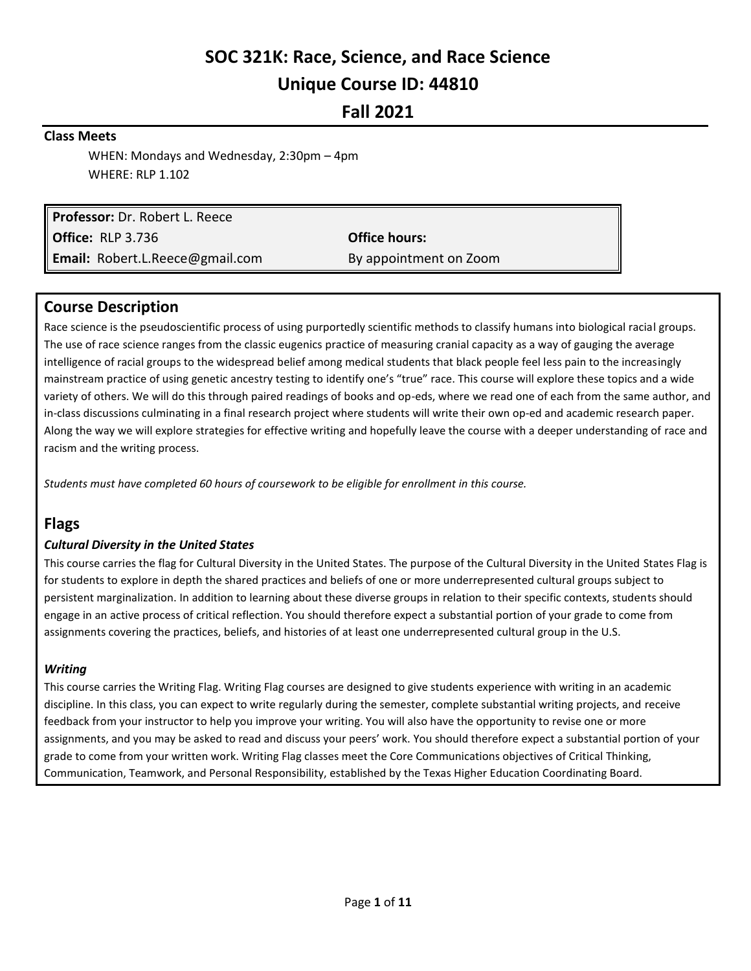# **SOC 321K: Race, Science, and Race Science Unique Course ID: 44810**

**Fall 2021**

### **Class Meets**

WHEN: Mondays and Wednesday, 2:30pm – 4pm WHERE: RLP 1.102

**Professor:** Dr. Robert L. Reece **Office:** RLP 3.736 **Office hours: Email:** Robert.L.Reece@gmail.com By appointment on Zoom

## **Course Description**

Race science is the pseudoscientific process of using purportedly scientific methods to classify humans into biological racial groups. The use of race science ranges from the classic eugenics practice of measuring cranial capacity as a way of gauging the average intelligence of racial groups to the widespread belief among medical students that black people feel less pain to the increasingly mainstream practice of using genetic ancestry testing to identify one's "true" race. This course will explore these topics and a wide variety of others. We will do this through paired readings of books and op-eds, where we read one of each from the same author, and in-class discussions culminating in a final research project where students will write their own op-ed and academic research paper. Along the way we will explore strategies for effective writing and hopefully leave the course with a deeper understanding of race and racism and the writing process.

*Students must have completed 60 hours of coursework to be eligible for enrollment in this course.*

# **Flags**

#### *Cultural Diversity in the United States*

This course carries the flag for Cultural Diversity in the United States. The purpose of the Cultural Diversity in the United States Flag is for students to explore in depth the shared practices and beliefs of one or more underrepresented cultural groups subject to persistent marginalization. In addition to learning about these diverse groups in relation to their specific contexts, students should engage in an active process of critical reflection. You should therefore expect a substantial portion of your grade to come from assignments covering the practices, beliefs, and histories of at least one underrepresented cultural group in the U.S.

#### *Writing*

This course carries the Writing Flag. Writing Flag courses are designed to give students experience with writing in an academic discipline. In this class, you can expect to write regularly during the semester, complete substantial writing projects, and receive feedback from your instructor to help you improve your writing. You will also have the opportunity to revise one or more assignments, and you may be asked to read and discuss your peers' work. You should therefore expect a substantial portion of your grade to come from your written work. Writing Flag classes meet the Core Communications objectives of Critical Thinking, Communication, Teamwork, and Personal Responsibility, established by the Texas Higher Education Coordinating Board.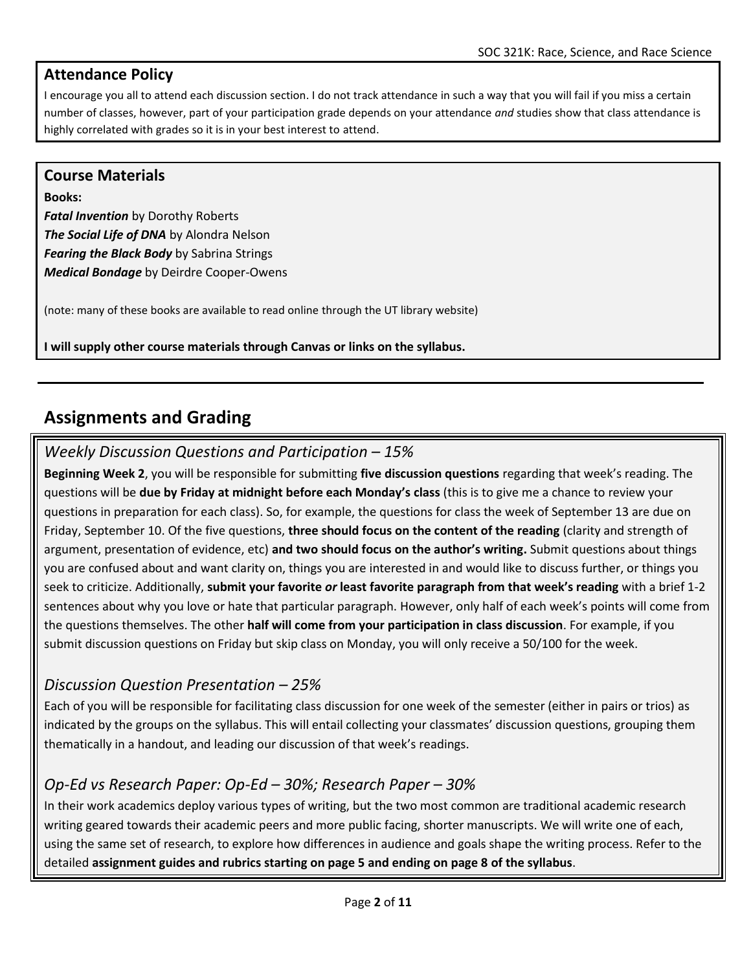# **Attendance Policy**

I encourage you all to attend each discussion section. I do not track attendance in such a way that you will fail if you miss a certain number of classes, however, part of your participation grade depends on your attendance *and* studies show that class attendance is highly correlated with grades so it is in your best interest to attend.

## **Course Materials**

**Books:** *Fatal Invention* by Dorothy Roberts *The Social Life of DNA* by Alondra Nelson *Fearing the Black Body* by Sabrina Strings *Medical Bondage* by Deirdre Cooper-Owens

(note: many of these books are available to read online through the UT library website)

**I will supply other course materials through Canvas or links on the syllabus.**

# **Assignments and Grading**

# *Weekly Discussion Questions and Participation – 15%*

**Beginning Week 2**, you will be responsible for submitting **five discussion questions** regarding that week's reading. The questions will be **due by Friday at midnight before each Monday's class** (this is to give me a chance to review your questions in preparation for each class). So, for example, the questions for class the week of September 13 are due on Friday, September 10. Of the five questions, **three should focus on the content of the reading** (clarity and strength of argument, presentation of evidence, etc) **and two should focus on the author's writing.** Submit questions about things you are confused about and want clarity on, things you are interested in and would like to discuss further, or things you seek to criticize. Additionally, **submit your favorite** *or* **least favorite paragraph from that week's reading** with a brief 1-2 sentences about why you love or hate that particular paragraph. However, only half of each week's points will come from the questions themselves. The other **half will come from your participation in class discussion**. For example, if you submit discussion questions on Friday but skip class on Monday, you will only receive a 50/100 for the week.

# *Discussion Question Presentation – 25%*

Each of you will be responsible for facilitating class discussion for one week of the semester (either in pairs or trios) as indicated by the groups on the syllabus. This will entail collecting your classmates' discussion questions, grouping them thematically in a handout, and leading our discussion of that week's readings.

# *Op-Ed vs Research Paper: Op-Ed – 30%; Research Paper – 30%*

In their work academics deploy various types of writing, but the two most common are traditional academic research writing geared towards their academic peers and more public facing, shorter manuscripts. We will write one of each, using the same set of research, to explore how differences in audience and goals shape the writing process. Refer to the detailed **assignment guides and rubrics starting on page 5 and ending on page 8 of the syllabus**.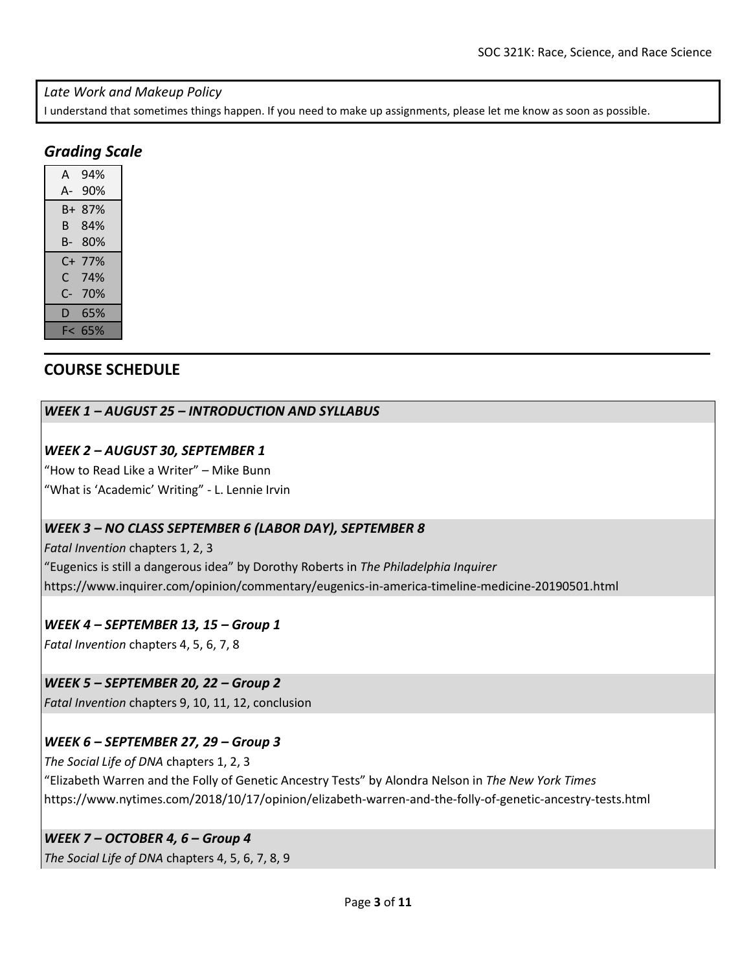#### *Late Work and Makeup Policy*

I understand that sometimes things happen. If you need to make up assignments, please let me know as soon as possible.

# *Grading Scale*

| А  | 94% |  |
|----|-----|--|
| А- | 90% |  |
| B+ | 87% |  |
| В  | 84% |  |
| В- | 80% |  |
|    |     |  |
| C+ | 77% |  |
| C. | 74% |  |
| C- | 70% |  |
| D  | 65% |  |

# **COURSE SCHEDULE**

### *WEEK 1 – AUGUST 25 – INTRODUCTION AND SYLLABUS*

### *WEEK 2 – AUGUST 30, SEPTEMBER 1*

"How to Read Like a Writer" – Mike Bunn "What is 'Academic' Writing" - L. Lennie Irvin

### *WEEK 3 – NO CLASS SEPTEMBER 6 (LABOR DAY), SEPTEMBER 8*

*Fatal Invention* chapters 1, 2, 3 "Eugenics is still a dangerous idea" by Dorothy Roberts in *The Philadelphia Inquirer* https://www.inquirer.com/opinion/commentary/eugenics-in-america-timeline-medicine-20190501.html

### *WEEK 4 – SEPTEMBER 13, 15 – Group 1*

*Fatal Invention* chapters 4, 5, 6, 7, 8

### *WEEK 5 – SEPTEMBER 20, 22 – Group 2*

*Fatal Invention* chapters 9, 10, 11, 12, conclusion

## *WEEK 6 – SEPTEMBER 27, 29 – Group 3*

*The Social Life of DNA* chapters 1, 2, 3 "Elizabeth Warren and the Folly of Genetic Ancestry Tests" by Alondra Nelson in *The New York Times* https://www.nytimes.com/2018/10/17/opinion/elizabeth-warren-and-the-folly-of-genetic-ancestry-tests.html

## *WEEK 7 – OCTOBER 4, 6 – Group 4*

*The Social Life of DNA* chapters 4, 5, 6, 7, 8, 9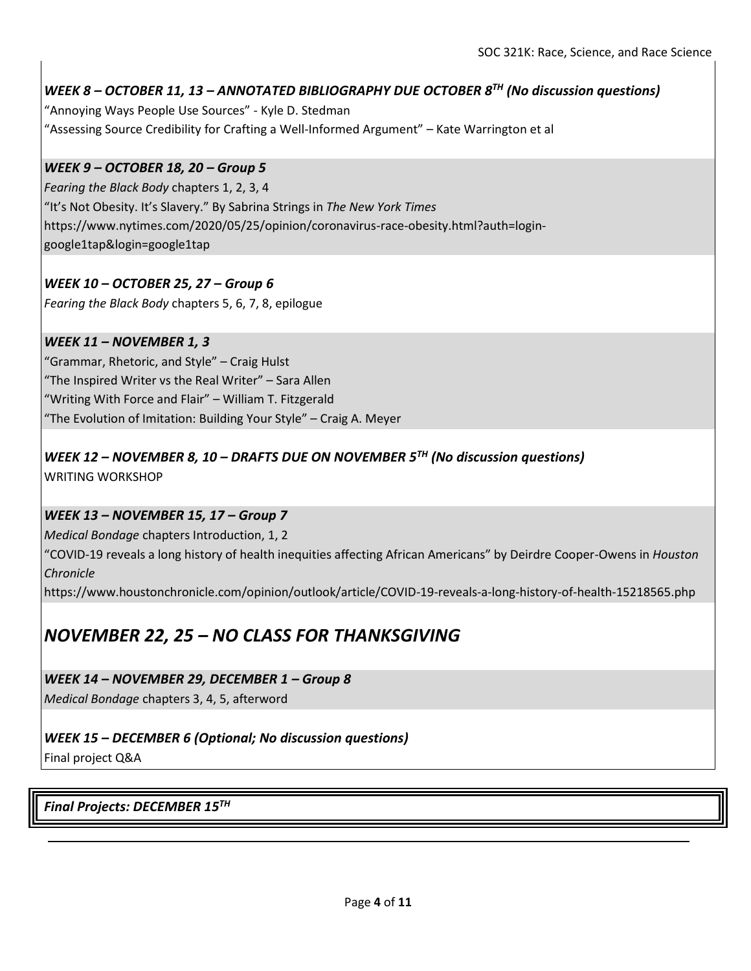## *WEEK 8 – OCTOBER 11, 13 – ANNOTATED BIBLIOGRAPHY DUE OCTOBER 8 TH (No discussion questions)*

"Annoying Ways People Use Sources" - Kyle D. Stedman "Assessing Source Credibility for Crafting a Well-Informed Argument" – Kate Warrington et al

## *WEEK 9 – OCTOBER 18, 20 – Group 5*

*Fearing the Black Body* chapters 1, 2, 3, 4 "It's Not Obesity. It's Slavery." By Sabrina Strings in *The New York Times* https://www.nytimes.com/2020/05/25/opinion/coronavirus-race-obesity.html?auth=logingoogle1tap&login=google1tap

## *WEEK 10 – OCTOBER 25, 27 – Group 6*

*Fearing the Black Body* chapters 5, 6, 7, 8, epilogue

### *WEEK 11 – NOVEMBER 1, 3*

"Grammar, Rhetoric, and Style" – Craig Hulst "The Inspired Writer vs the Real Writer" – Sara Allen "Writing With Force and Flair" – William T. Fitzgerald "The Evolution of Imitation: Building Your Style" – Craig A. Meyer

## *WEEK 12 – NOVEMBER 8, 10 – DRAFTS DUE ON NOVEMBER 5TH (No discussion questions)* WRITING WORKSHOP

### *WEEK 13 – NOVEMBER 15, 17 – Group 7*

*Medical Bondage* chapters Introduction, 1, 2

"COVID-19 reveals a long history of health inequities affecting African Americans" by Deirdre Cooper-Owens in *Houston Chronicle*

https://www.houstonchronicle.com/opinion/outlook/article/COVID-19-reveals-a-long-history-of-health-15218565.php

# *NOVEMBER 22, 25 – NO CLASS FOR THANKSGIVING*

### *WEEK 14 – NOVEMBER 29, DECEMBER 1 – Group 8*

*Medical Bondage* chapters 3, 4, 5, afterword

# *WEEK 15 – DECEMBER 6 (Optional; No discussion questions)*

Final project Q&A

*Final Projects: DECEMBER 15TH*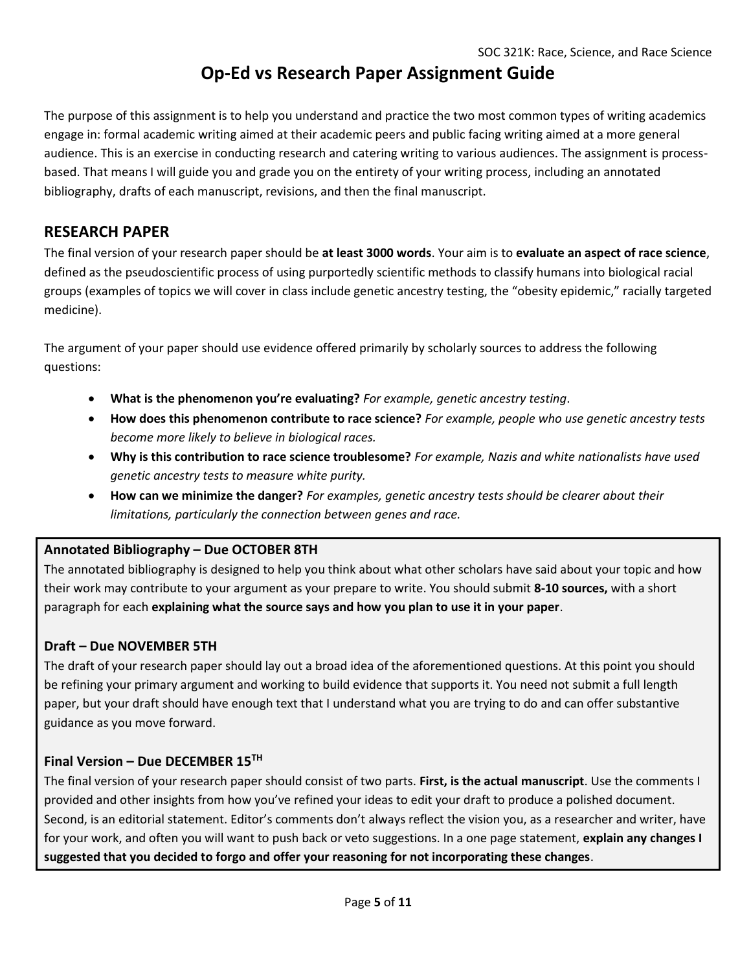# **Op-Ed vs Research Paper Assignment Guide**

The purpose of this assignment is to help you understand and practice the two most common types of writing academics engage in: formal academic writing aimed at their academic peers and public facing writing aimed at a more general audience. This is an exercise in conducting research and catering writing to various audiences. The assignment is processbased. That means I will guide you and grade you on the entirety of your writing process, including an annotated bibliography, drafts of each manuscript, revisions, and then the final manuscript.

# **RESEARCH PAPER**

The final version of your research paper should be **at least 3000 words**. Your aim is to **evaluate an aspect of race science**, defined as the pseudoscientific process of using purportedly scientific methods to classify humans into biological racial groups (examples of topics we will cover in class include genetic ancestry testing, the "obesity epidemic," racially targeted medicine).

The argument of your paper should use evidence offered primarily by scholarly sources to address the following questions:

- **What is the phenomenon you're evaluating?** *For example, genetic ancestry testing*.
- **How does this phenomenon contribute to race science?** *For example, people who use genetic ancestry tests become more likely to believe in biological races.*
- **Why is this contribution to race science troublesome?** *For example, Nazis and white nationalists have used genetic ancestry tests to measure white purity.*
- **How can we minimize the danger?** *For examples, genetic ancestry tests should be clearer about their limitations, particularly the connection between genes and race.*

## **Annotated Bibliography – Due OCTOBER 8TH**

The annotated bibliography is designed to help you think about what other scholars have said about your topic and how their work may contribute to your argument as your prepare to write. You should submit **8-10 sources,** with a short paragraph for each **explaining what the source says and how you plan to use it in your paper**.

## **Draft – Due NOVEMBER 5TH**

The draft of your research paper should lay out a broad idea of the aforementioned questions. At this point you should be refining your primary argument and working to build evidence that supports it. You need not submit a full length paper, but your draft should have enough text that I understand what you are trying to do and can offer substantive guidance as you move forward.

## **Final Version – Due DECEMBER 15TH**

The final version of your research paper should consist of two parts. **First, is the actual manuscript**. Use the comments I provided and other insights from how you've refined your ideas to edit your draft to produce a polished document. Second, is an editorial statement. Editor's comments don't always reflect the vision you, as a researcher and writer, have for your work, and often you will want to push back or veto suggestions. In a one page statement, **explain any changes I suggested that you decided to forgo and offer your reasoning for not incorporating these changes**.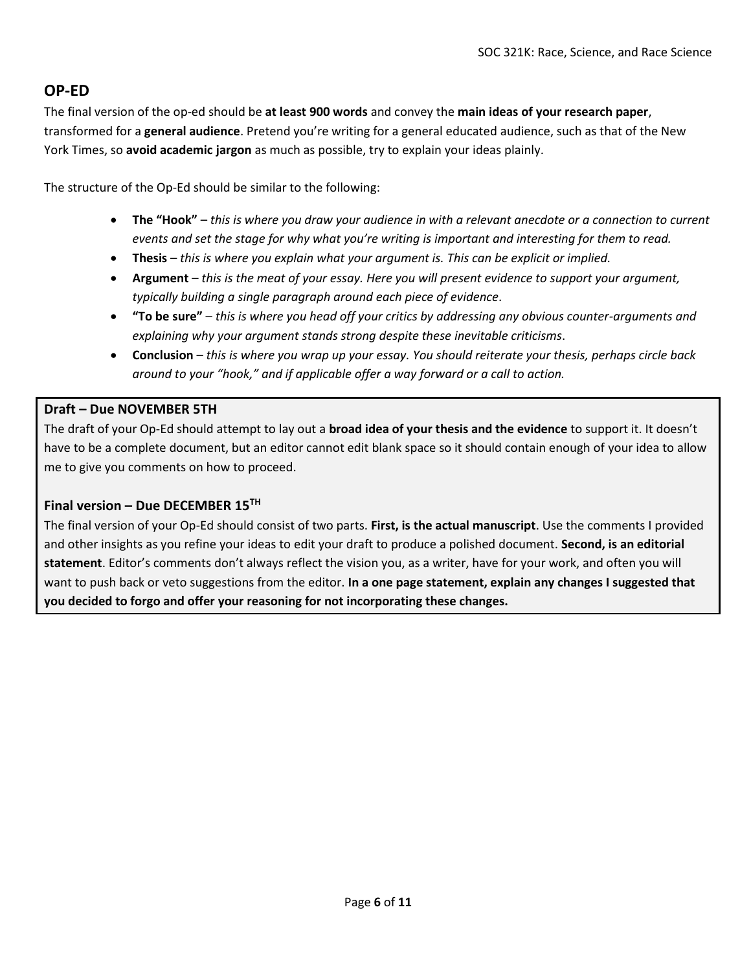# **OP-ED**

The final version of the op-ed should be **at least 900 words** and convey the **main ideas of your research paper**, transformed for a **general audience**. Pretend you're writing for a general educated audience, such as that of the New York Times, so **avoid academic jargon** as much as possible, try to explain your ideas plainly.

The structure of the Op-Ed should be similar to the following:

- **The "Hook"** *this is where you draw your audience in with a relevant anecdote or a connection to current events and set the stage for why what you're writing is important and interesting for them to read.*
- **Thesis** *this is where you explain what your argument is. This can be explicit or implied.*
- **Argument** *this is the meat of your essay. Here you will present evidence to support your argument, typically building a single paragraph around each piece of evidence*.
- **"To be sure"** *this is where you head off your critics by addressing any obvious counter-arguments and explaining why your argument stands strong despite these inevitable criticisms*.
- **Conclusion** *this is where you wrap up your essay. You should reiterate your thesis, perhaps circle back around to your "hook," and if applicable offer a way forward or a call to action.*

### **Draft – Due NOVEMBER 5TH**

The draft of your Op-Ed should attempt to lay out a **broad idea of your thesis and the evidence** to support it. It doesn't have to be a complete document, but an editor cannot edit blank space so it should contain enough of your idea to allow me to give you comments on how to proceed.

### **Final version – Due DECEMBER 15TH**

The final version of your Op-Ed should consist of two parts. **First, is the actual manuscript**. Use the comments I provided and other insights as you refine your ideas to edit your draft to produce a polished document. **Second, is an editorial statement**. Editor's comments don't always reflect the vision you, as a writer, have for your work, and often you will want to push back or veto suggestions from the editor. **In a one page statement, explain any changes I suggested that you decided to forgo and offer your reasoning for not incorporating these changes.**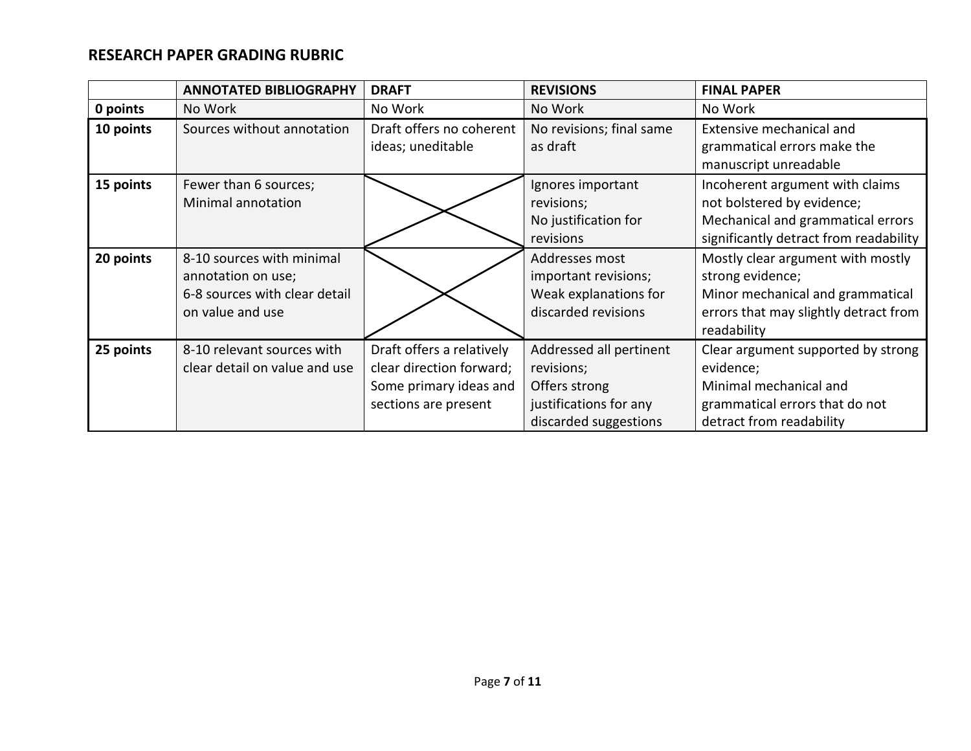# **RESEARCH PAPER GRADING RUBRIC**

|           | <b>ANNOTATED BIBLIOGRAPHY</b>                                                                        | <b>DRAFT</b>                                                                                            | <b>REVISIONS</b>                                                                                          | <b>FINAL PAPER</b>                                                                                                                                |  |
|-----------|------------------------------------------------------------------------------------------------------|---------------------------------------------------------------------------------------------------------|-----------------------------------------------------------------------------------------------------------|---------------------------------------------------------------------------------------------------------------------------------------------------|--|
| 0 points  | No Work                                                                                              | No Work                                                                                                 | No Work                                                                                                   | No Work                                                                                                                                           |  |
| 10 points | Sources without annotation                                                                           | Draft offers no coherent<br>ideas; uneditable                                                           | No revisions; final same<br>as draft                                                                      | Extensive mechanical and<br>grammatical errors make the<br>manuscript unreadable                                                                  |  |
| 15 points | Fewer than 6 sources;<br>Minimal annotation                                                          |                                                                                                         | Ignores important<br>revisions;<br>No justification for<br>revisions                                      | Incoherent argument with claims<br>not bolstered by evidence;<br>Mechanical and grammatical errors<br>significantly detract from readability      |  |
| 20 points | 8-10 sources with minimal<br>annotation on use;<br>6-8 sources with clear detail<br>on value and use |                                                                                                         | Addresses most<br>important revisions;<br>Weak explanations for<br>discarded revisions                    | Mostly clear argument with mostly<br>strong evidence;<br>Minor mechanical and grammatical<br>errors that may slightly detract from<br>readability |  |
| 25 points | 8-10 relevant sources with<br>clear detail on value and use                                          | Draft offers a relatively<br>clear direction forward;<br>Some primary ideas and<br>sections are present | Addressed all pertinent<br>revisions;<br>Offers strong<br>justifications for any<br>discarded suggestions | Clear argument supported by strong<br>evidence;<br>Minimal mechanical and<br>grammatical errors that do not<br>detract from readability           |  |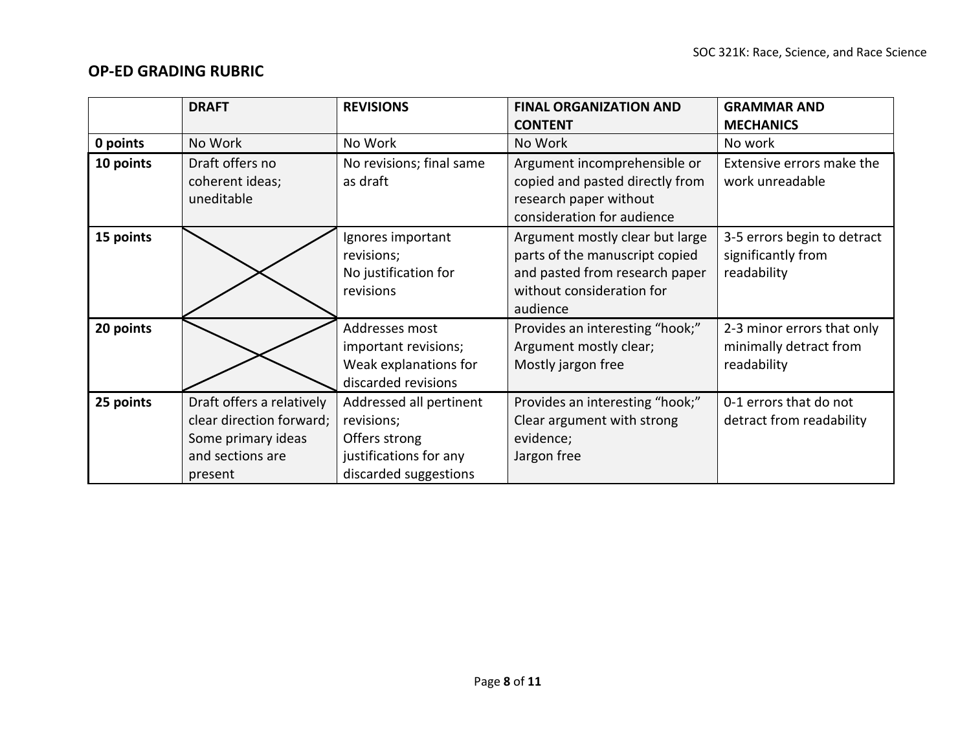# **OP-ED GRADING RUBRIC**

|           | <b>DRAFT</b>                                                                                               | <b>REVISIONS</b>                                                                                          | <b>FINAL ORGANIZATION AND</b>                                                                                                                | <b>GRAMMAR AND</b>                                                  |
|-----------|------------------------------------------------------------------------------------------------------------|-----------------------------------------------------------------------------------------------------------|----------------------------------------------------------------------------------------------------------------------------------------------|---------------------------------------------------------------------|
|           |                                                                                                            |                                                                                                           | <b>CONTENT</b>                                                                                                                               | <b>MECHANICS</b>                                                    |
| 0 points  | No Work                                                                                                    | No Work                                                                                                   | No Work                                                                                                                                      | No work                                                             |
| 10 points | Draft offers no<br>coherent ideas;<br>uneditable                                                           | No revisions; final same<br>as draft                                                                      | Argument incomprehensible or<br>copied and pasted directly from<br>research paper without<br>consideration for audience                      | Extensive errors make the<br>work unreadable                        |
| 15 points |                                                                                                            | Ignores important<br>revisions;<br>No justification for<br>revisions                                      | Argument mostly clear but large<br>parts of the manuscript copied<br>and pasted from research paper<br>without consideration for<br>audience | 3-5 errors begin to detract<br>significantly from<br>readability    |
| 20 points |                                                                                                            | Addresses most<br>important revisions;<br>Weak explanations for<br>discarded revisions                    | Provides an interesting "hook;"<br>Argument mostly clear;<br>Mostly jargon free                                                              | 2-3 minor errors that only<br>minimally detract from<br>readability |
| 25 points | Draft offers a relatively<br>clear direction forward;<br>Some primary ideas<br>and sections are<br>present | Addressed all pertinent<br>revisions;<br>Offers strong<br>justifications for any<br>discarded suggestions | Provides an interesting "hook;"<br>Clear argument with strong<br>evidence;<br>Jargon free                                                    | 0-1 errors that do not<br>detract from readability                  |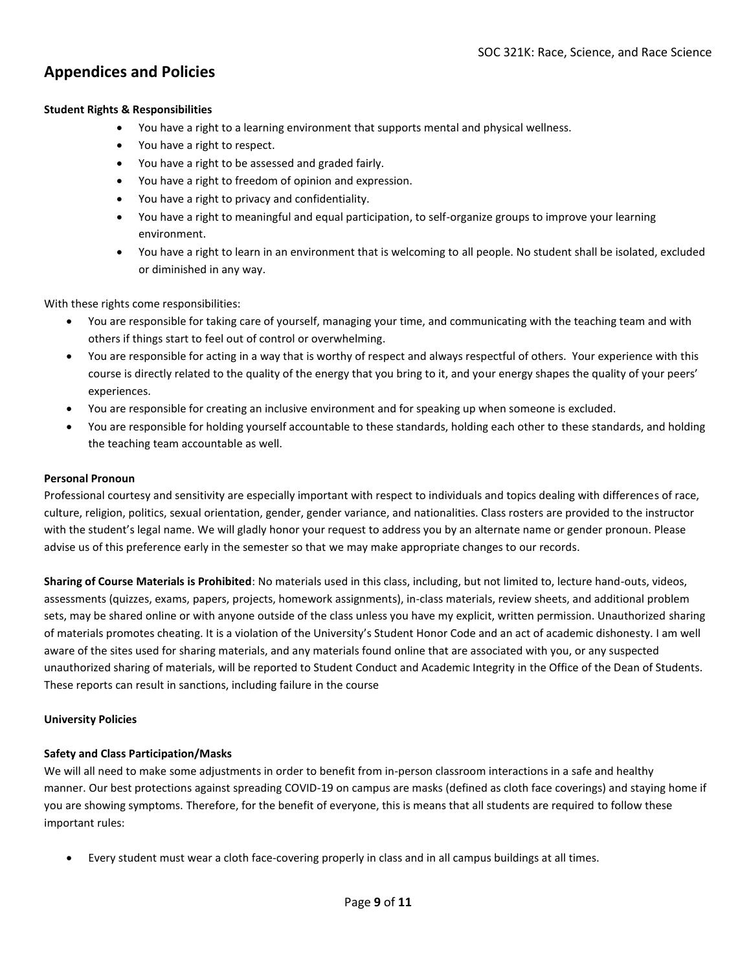## **Appendices and Policies**

#### **Student Rights & Responsibilities**

- You have a right to a learning environment that supports mental and physical wellness.
- You have a right to respect.
- You have a right to be assessed and graded fairly.
- You have a right to freedom of opinion and expression.
- You have a right to privacy and confidentiality.
- You have a right to meaningful and equal participation, to self-organize groups to improve your learning environment.
- You have a right to learn in an environment that is welcoming to all people. No student shall be isolated, excluded or diminished in any way.

With these rights come responsibilities:

- You are responsible for taking care of yourself, managing your time, and communicating with the teaching team and with others if things start to feel out of control or overwhelming.
- You are responsible for acting in a way that is worthy of respect and always respectful of others. Your experience with this course is directly related to the quality of the energy that you bring to it, and your energy shapes the quality of your peers' experiences.
- You are responsible for creating an inclusive environment and for speaking up when someone is excluded.
- You are responsible for holding yourself accountable to these standards, holding each other to these standards, and holding the teaching team accountable as well.

#### **Personal Pronoun**

Professional courtesy and sensitivity are especially important with respect to individuals and topics dealing with differences of race, culture, religion, politics, sexual orientation, gender, gender variance, and nationalities. Class rosters are provided to the instructor with the student's legal name. We will gladly honor your request to address you by an alternate name or gender pronoun. Please advise us of this preference early in the semester so that we may make appropriate changes to our records.

**Sharing of Course Materials is Prohibited**: No materials used in this class, including, but not limited to, lecture hand-outs, videos, assessments (quizzes, exams, papers, projects, homework assignments), in-class materials, review sheets, and additional problem sets, may be shared online or with anyone outside of the class unless you have my explicit, written permission. Unauthorized sharing of materials promotes cheating. It is a violation of the University's Student Honor Code and an act of academic dishonesty. I am well aware of the sites used for sharing materials, and any materials found online that are associated with you, or any suspected unauthorized sharing of materials, will be reported to Student Conduct and Academic Integrity in the Office of the Dean of Students. These reports can result in sanctions, including failure in the course

#### **University Policies**

#### **Safety and Class Participation/Masks**

We will all need to make some adjustments in order to benefit from in-person classroom interactions in a safe and healthy manner. Our best protections against spreading COVID-19 on campus are masks (defined as cloth face coverings) and staying home if you are showing symptoms. Therefore, for the benefit of everyone, this is means that all students are required to follow these important rules:

• Every student must wear a cloth face-covering properly in class and in all campus buildings at all times.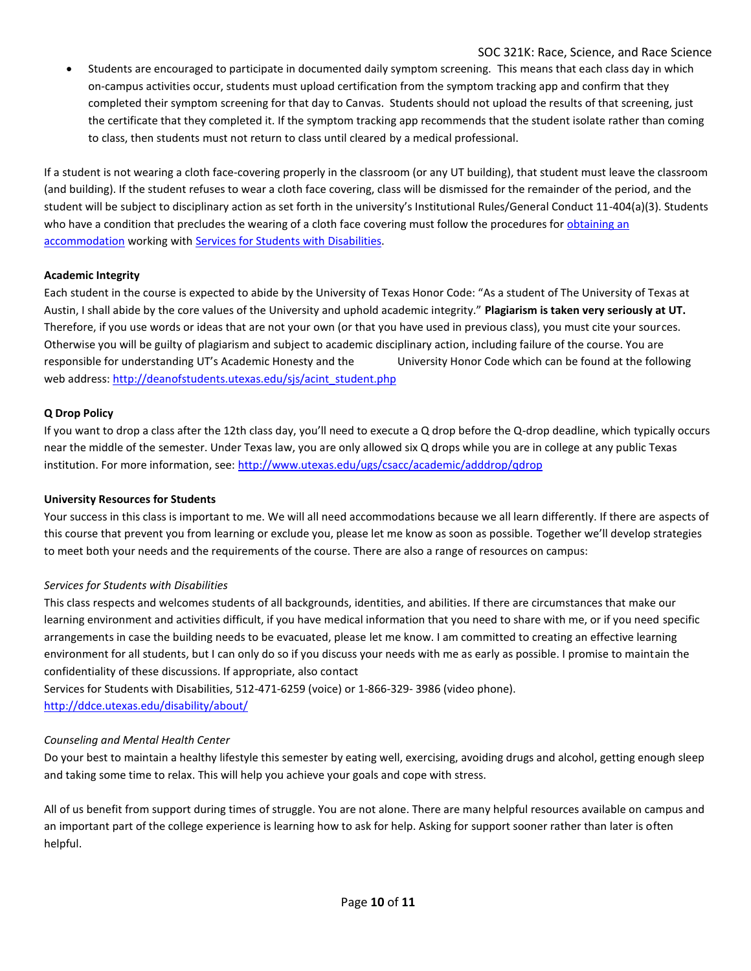SOC 321K: Race, Science, and Race Science

• Students are encouraged to participate in documented daily symptom screening. This means that each class day in which on-campus activities occur, students must upload certification from the symptom tracking app and confirm that they completed their symptom screening for that day to Canvas. Students should not upload the results of that screening, just the certificate that they completed it. If the symptom tracking app recommends that the student isolate rather than coming to class, then students must not return to class until cleared by a medical professional.

If a student is not wearing a cloth face-covering properly in the classroom (or any UT building), that student must leave the classroom (and building). If the student refuses to wear a cloth face covering, class will be dismissed for the remainder of the period, and the student will be subject to disciplinary action as set forth in the university's Institutional Rules/General Conduct 11-404(a)(3). Students who have a condition that precludes the wearing of a cloth face covering must follow the procedures for obtaining an [accommodation](https://orientation.utexas.edu/students-with-disabilities) working with [Services for Students with Disabilities.](https://diversity.utexas.edu/disability/)

#### **Academic Integrity**

Each student in the course is expected to abide by the University of Texas Honor Code: "As a student of The University of Texas at Austin, I shall abide by the core values of the University and uphold academic integrity." **Plagiarism is taken very seriously at UT.** Therefore, if you use words or ideas that are not your own (or that you have used in previous class), you must cite your sources. Otherwise you will be guilty of plagiarism and subject to academic disciplinary action, including failure of the course. You are responsible for understanding UT's Academic Honesty and the University Honor Code which can be found at the following web address: [http://deanofstudents.utexas.edu/sjs/acint\\_student.php](http://deanofstudents.utexas.edu/sjs/acint_student.php)

#### **Q Drop Policy**

If you want to drop a class after the 12th class day, you'll need to execute a Q drop before the Q-drop deadline, which typically occurs near the middle of the semester. Under Texas law, you are only allowed six Q drops while you are in college at any public Texas institution. For more information, see:<http://www.utexas.edu/ugs/csacc/academic/adddrop/qdrop>

#### **University Resources for Students**

Your success in this class is important to me. We will all need accommodations because we all learn differently. If there are aspects of this course that prevent you from learning or exclude you, please let me know as soon as possible. Together we'll develop strategies to meet both your needs and the requirements of the course. There are also a range of resources on campus:

#### *Services for Students with Disabilities*

This class respects and welcomes students of all backgrounds, identities, and abilities. If there are circumstances that make our learning environment and activities difficult, if you have medical information that you need to share with me, or if you need specific arrangements in case the building needs to be evacuated, please let me know. I am committed to creating an effective learning environment for all students, but I can only do so if you discuss your needs with me as early as possible. I promise to maintain the confidentiality of these discussions. If appropriate, also contact

Services for Students with Disabilities, 512-471-6259 (voice) or 1-866-329- 3986 (video phone). <http://ddce.utexas.edu/disability/about/>

#### *Counseling and Mental Health Center*

Do your best to maintain a healthy lifestyle this semester by eating well, exercising, avoiding drugs and alcohol, getting enough sleep and taking some time to relax. This will help you achieve your goals and cope with stress.

All of us benefit from support during times of struggle. You are not alone. There are many helpful resources available on campus and an important part of the college experience is learning how to ask for help. Asking for support sooner rather than later is often helpful.